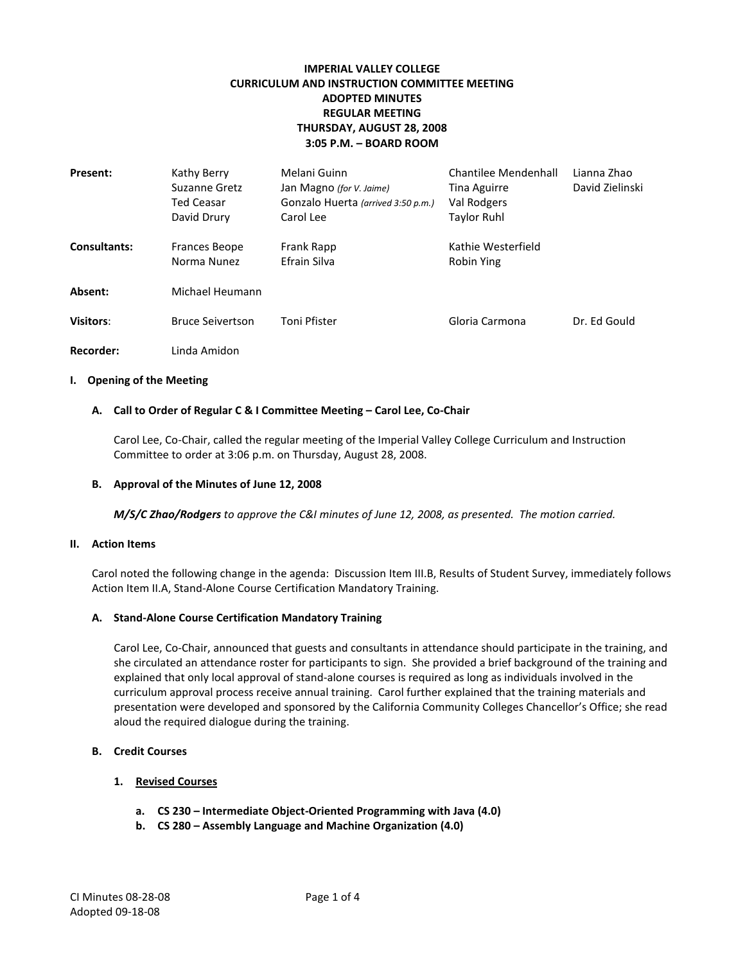# **IMPERIAL VALLEY COLLEGE CURRICULUM AND INSTRUCTION COMMITTEE MEETING ADOPTED MINUTES REGULAR MEETING THURSDAY, AUGUST 28, 2008 3:05 P.M. – BOARD ROOM**

| <b>Present:</b>     | Kathy Berry<br>Suzanne Gretz<br><b>Ted Ceasar</b><br>David Drury | Melani Guinn<br>Jan Magno (for V. Jaime)<br>Gonzalo Huerta (arrived 3:50 p.m.)<br>Carol Lee | Chantilee Mendenhall<br><b>Tina Aguirre</b><br>Val Rodgers<br><b>Taylor Ruhl</b> | Lianna Zhao<br>David Zielinski |
|---------------------|------------------------------------------------------------------|---------------------------------------------------------------------------------------------|----------------------------------------------------------------------------------|--------------------------------|
| <b>Consultants:</b> | <b>Frances Beope</b><br>Norma Nunez                              | Frank Rapp<br>Efrain Silva                                                                  | Kathie Westerfield<br>Robin Ying                                                 |                                |
| Absent:             | Michael Heumann                                                  |                                                                                             |                                                                                  |                                |
| <b>Visitors:</b>    | <b>Bruce Seivertson</b>                                          | Toni Pfister                                                                                | Gloria Carmona                                                                   | Dr. Ed Gould                   |
| Recorder:           | Linda Amidon                                                     |                                                                                             |                                                                                  |                                |

#### **I. Opening of the Meeting**

#### **A. Call to Order of Regular C & I Committee Meeting – Carol Lee, Co-Chair**

Carol Lee, Co-Chair, called the regular meeting of the Imperial Valley College Curriculum and Instruction Committee to order at 3:06 p.m. on Thursday, August 28, 2008.

#### **B. Approval of the Minutes of June 12, 2008**

*M/S/C Zhao/Rodgers to approve the C&I minutes of June 12, 2008, as presented. The motion carried.*

#### **II. Action Items**

Carol noted the following change in the agenda: Discussion Item III.B, Results of Student Survey, immediately follows Action Item II.A, Stand-Alone Course Certification Mandatory Training.

#### **A. Stand-Alone Course Certification Mandatory Training**

Carol Lee, Co-Chair, announced that guests and consultants in attendance should participate in the training, and she circulated an attendance roster for participants to sign. She provided a brief background of the training and explained that only local approval of stand-alone courses is required as long as individuals involved in the curriculum approval process receive annual training. Carol further explained that the training materials and presentation were developed and sponsored by the California Community Colleges Chancellor's Office; she read aloud the required dialogue during the training.

#### **B. Credit Courses**

## **1. Revised Courses**

- **a. CS 230 – Intermediate Object-Oriented Programming with Java (4.0)**
- **b. CS 280 – Assembly Language and Machine Organization (4.0)**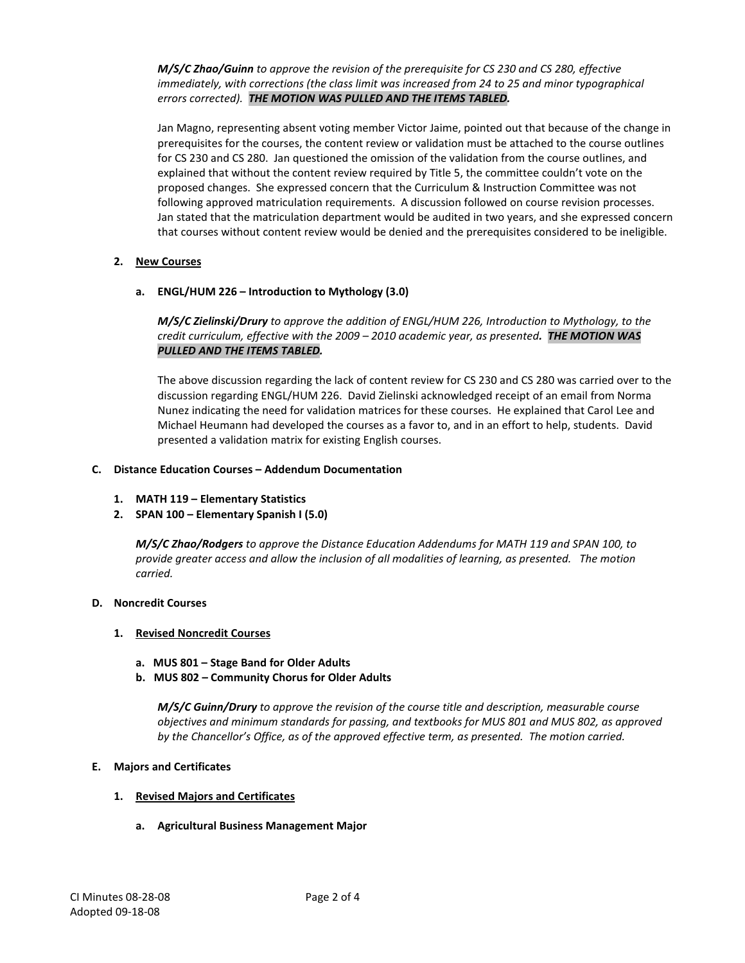*M/S/C Zhao/Guinn to approve the revision of the prerequisite for CS 230 and CS 280, effective immediately, with corrections (the class limit was increased from 24 to 25 and minor typographical errors corrected). THE MOTION WAS PULLED AND THE ITEMS TABLED.*

Jan Magno, representing absent voting member Victor Jaime, pointed out that because of the change in prerequisites for the courses, the content review or validation must be attached to the course outlines for CS 230 and CS 280. Jan questioned the omission of the validation from the course outlines, and explained that without the content review required by Title 5, the committee couldn't vote on the proposed changes. She expressed concern that the Curriculum & Instruction Committee was not following approved matriculation requirements. A discussion followed on course revision processes. Jan stated that the matriculation department would be audited in two years, and she expressed concern that courses without content review would be denied and the prerequisites considered to be ineligible.

## **2. New Courses**

## **a. ENGL/HUM 226 – Introduction to Mythology (3.0)**

*M/S/C Zielinski/Drury to approve the addition of ENGL/HUM 226, Introduction to Mythology, to the credit curriculum, effective with the 2009 – 2010 academic year, as presented. THE MOTION WAS PULLED AND THE ITEMS TABLED.*

The above discussion regarding the lack of content review for CS 230 and CS 280 was carried over to the discussion regarding ENGL/HUM 226. David Zielinski acknowledged receipt of an email from Norma Nunez indicating the need for validation matrices for these courses. He explained that Carol Lee and Michael Heumann had developed the courses as a favor to, and in an effort to help, students. David presented a validation matrix for existing English courses.

## **C. Distance Education Courses – Addendum Documentation**

- **1. MATH 119 – Elementary Statistics**
- **2. SPAN 100 – Elementary Spanish I (5.0)**

*M/S/C Zhao/Rodgers to approve the Distance Education Addendums for MATH 119 and SPAN 100, to provide greater access and allow the inclusion of all modalities of learning, as presented. The motion carried.*

## **D. Noncredit Courses**

## **1. Revised Noncredit Courses**

- **a. MUS 801 – Stage Band for Older Adults**
- **b. MUS 802 – Community Chorus for Older Adults**

*M/S/C Guinn/Drury to approve the revision of the course title and description, measurable course objectives and minimum standards for passing, and textbooks for MUS 801 and MUS 802, as approved*  by the Chancellor's Office, as of the approved effective term, as presented. The motion carried.

## **E. Majors and Certificates**

## **1. Revised Majors and Certificates**

**a. Agricultural Business Management Major**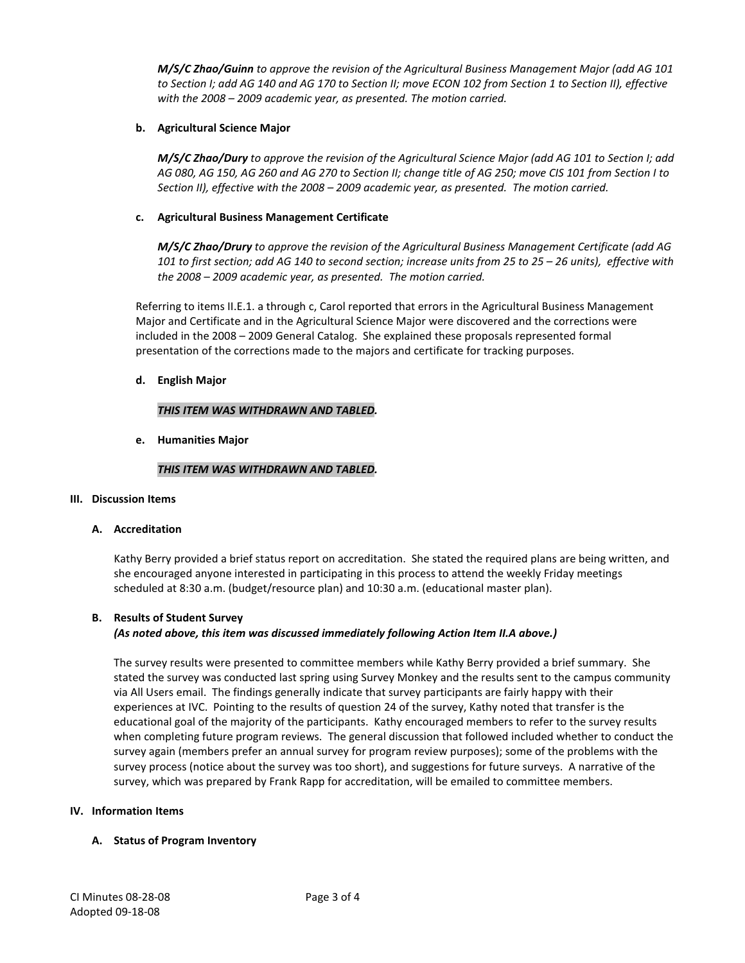*M/S/C Zhao/Guinn to approve the revision of the Agricultural Business Management Major (add AG 101 to Section I; add AG 140 and AG 170 to Section II; move ECON 102 from Section 1 to Section II), effective with the 2008 – 2009 academic year, as presented. The motion carried.*

## **b. Agricultural Science Major**

*M/S/C Zhao/Dury to approve the revision of the Agricultural Science Major (add AG 101 to Section I; add AG 080, AG 150, AG 260 and AG 270 to Section II; change title of AG 250; move CIS 101 from Section I to Section II), effective with the 2008 – 2009 academic year, as presented. The motion carried.*

## **c. Agricultural Business Management Certificate**

*M/S/C Zhao/Drury to approve the revision of the Agricultural Business Management Certificate (add AG 101 to first section; add AG 140 to second section; increase units from 25 to 25 – 26 units), effective with the 2008 – 2009 academic year, as presented. The motion carried.*

Referring to items II.E.1. a through c, Carol reported that errors in the Agricultural Business Management Major and Certificate and in the Agricultural Science Major were discovered and the corrections were included in the 2008 – 2009 General Catalog. She explained these proposals represented formal presentation of the corrections made to the majors and certificate for tracking purposes.

## **d. English Major**

## *THIS ITEM WAS WITHDRAWN AND TABLED.*

**e. Humanities Major**

## *THIS ITEM WAS WITHDRAWN AND TABLED.*

## **III. Discussion Items**

## **A. Accreditation**

Kathy Berry provided a brief status report on accreditation. She stated the required plans are being written, and she encouraged anyone interested in participating in this process to attend the weekly Friday meetings scheduled at 8:30 a.m. (budget/resource plan) and 10:30 a.m. (educational master plan).

## **B. Results of Student Survey**

# *(As noted above, this item was discussed immediately following Action Item II.A above.)*

The survey results were presented to committee members while Kathy Berry provided a brief summary. She stated the survey was conducted last spring using Survey Monkey and the results sent to the campus community via All Users email. The findings generally indicate that survey participants are fairly happy with their experiences at IVC. Pointing to the results of question 24 of the survey, Kathy noted that transfer is the educational goal of the majority of the participants. Kathy encouraged members to refer to the survey results when completing future program reviews. The general discussion that followed included whether to conduct the survey again (members prefer an annual survey for program review purposes); some of the problems with the survey process (notice about the survey was too short), and suggestions for future surveys. A narrative of the survey, which was prepared by Frank Rapp for accreditation, will be emailed to committee members.

## **IV. Information Items**

## **A. Status of Program Inventory**